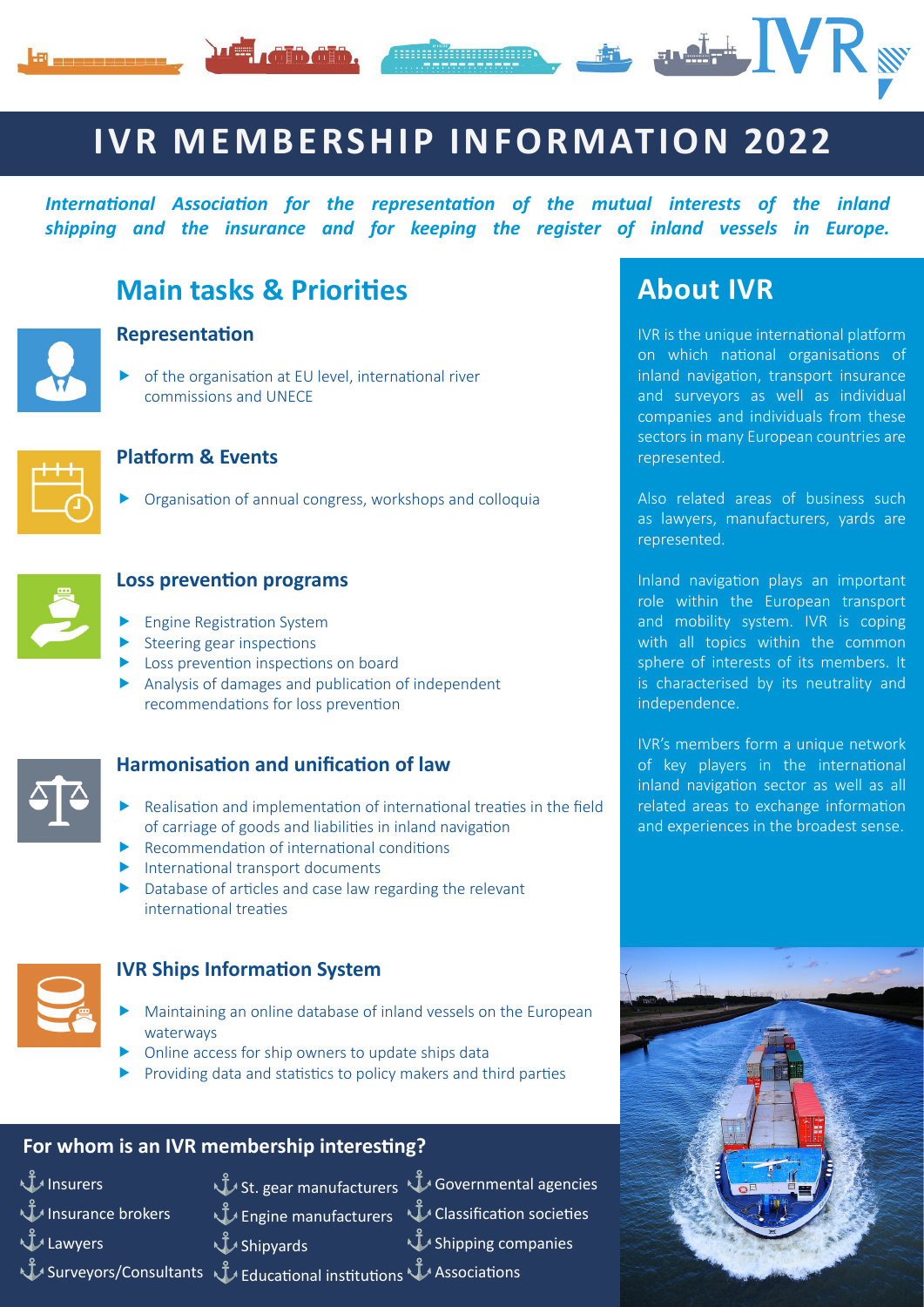





# **IVR MEMBERSHIP INFORMATION 2022**

*International Association for the representation of the mutual interests of the inland shipping and the insurance and for keeping the register of inland vessels in Europe.* 



# **Main tasks & Priorities**

#### **Representation**

 $\triangleright$  of the organisation at EU level, international river commissions and UNECE



### **Platform & Events**

 $\triangleright$  Organisation of annual congress, workshops and colloquia



### **Loss prevention programs**

- $\blacktriangleright$  Engine Registration System
- $\blacktriangleright$  Steering gear inspections
- $\blacktriangleright$  Loss prevention inspections on board
- $\blacktriangleright$  Analysis of damages and publication of independent recommendations for loss prevention



### **Harmonisation and unification of law**

- Realisation and implementation of international treaties in the field of carriage of goods and liabilities in inland navigation
- Recommendation of international conditions
- $\blacktriangleright$  International transport documents
- $\blacktriangleright$  Database of articles and case law regarding the relevant international treaties



### **IVR Ships Information System**

- Maintaining an online database of inland vessels on the European waterways
- Online access for ship owners to update ships data
- $\blacktriangleright$  Providing data and statistics to policy makers and third parties

### **For whom is an IVR membership interesting?**

 $\mathbf{u}$  Insurers Insurance brokers

⚓Lawyers

 $\hat{\mathbb{J}}$  St. gear manufacturers  $\stackrel{\circ}{\mathsf{U}}$  Governmental agencies **J** Shipyards

 $\hat{\mathbb{J}}$  Engine manufacturers  $\downarrow$  Classification societies ⚓Shipping companies

⚓Surveyors/Consultants ⚓Educational institutions ⚓Associations

# **About IVR**

IVR is the unique international platform on which national organisations of inland navigation, transport insurance and surveyors as well as individual companies and individuals from these sectors in many European countries are represented.

Also related areas of business such as lawyers, manufacturers, yards are represented.

Inland navigation plays an important role within the European transport and mobility system. IVR is coping with all topics within the common sphere of interests of its members. It is characterised by its neutrality and independence.

IVR's members form a unique network of key players in the international inland navigation sector as well as all related areas to exchange information and experiences in the broadest sense.

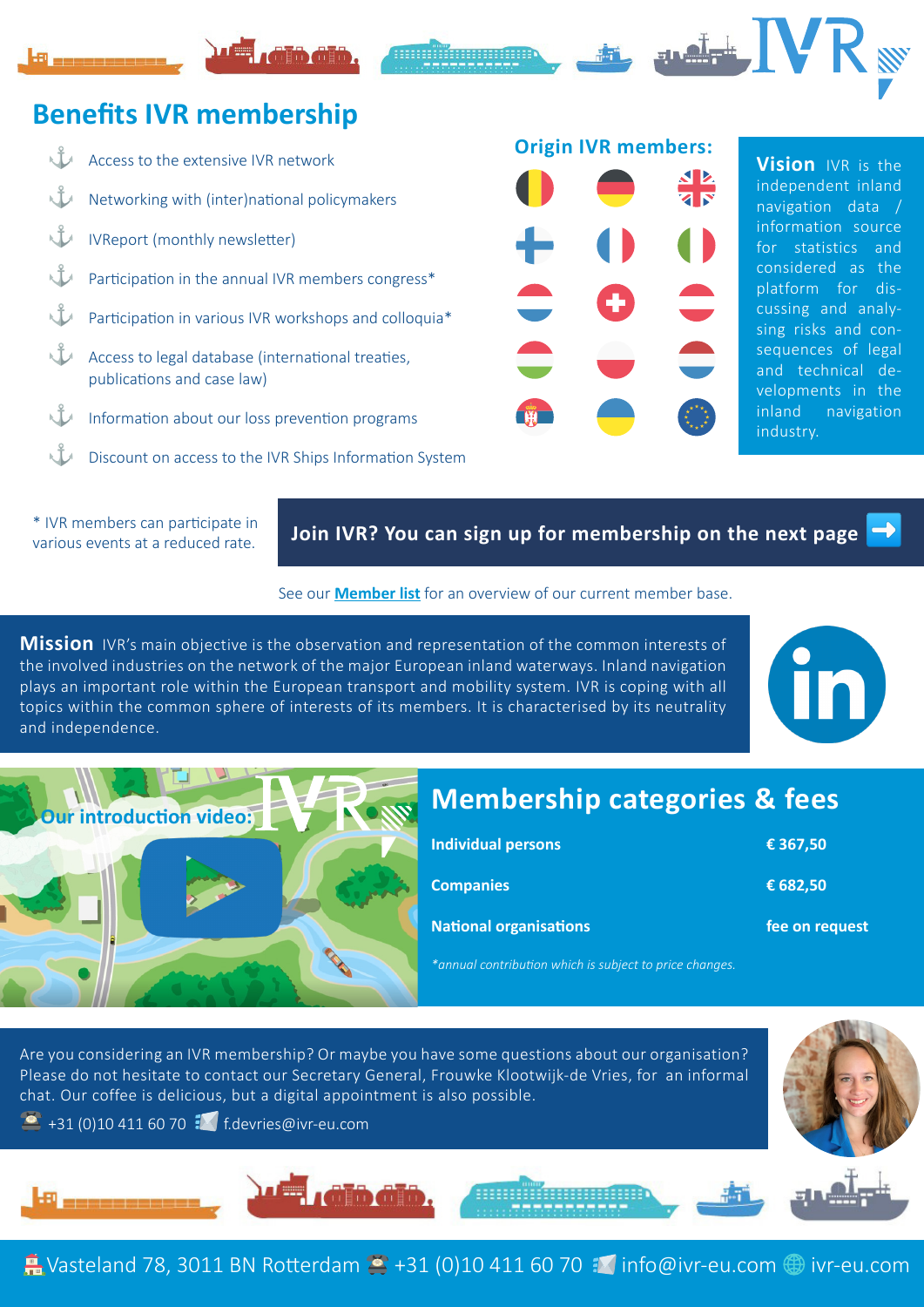## **Benefits IVR membership**



\* IVR members can participate in various events at a reduced rate.

### **Join IVR? You can sign up for membership on the next page**

#### See our **[Member list](https://www.ivr-eu.com/organisation/members/?lang=en)** for an overview of our current member base.

**Mission** IVR's main objective is the observation and representation of the common interests of the involved industries on the network of the major European inland waterways. Inland navigation plays an important role within the European transport and mobility system. IVR is coping with all topics within the common sphere of interests of its members. It is characterised by its neutrality and independence.





# **Membership categories & fees**

| <b>Individual persons</b>     | € 367,50       |
|-------------------------------|----------------|
| Companies <sup>1</sup>        | € 682,50       |
| <b>National organisations</b> | fee on request |

*\*annual contribution which is subject to price changes.*

Are you considering an IVR membership? Or maybe you have some questions about our organisation? Please do not hesitate to contact our Secretary General, Frouwke Klootwijk-de Vries, for an informal chat. Our coffee is delicious, but a digital appointment is also possible.

 $\bullet$  +31 (0)10 411 60 70  $\bullet$  f.devrie[s@ivr-eu.com](mailto:f.devries%40ivr-eu.com?subject=)





 $\blacksquare$  Vasteland 78, 3011 BN Rotterdam  $\blacksquare$  +31 (0)10 411 60 70  $\blacksquare$  [info@ivr-eu.com](mailto:info%40ivr-eu.com?subject=)  $\bigoplus$  [ivr-eu.com](http://ivr-eu.com)